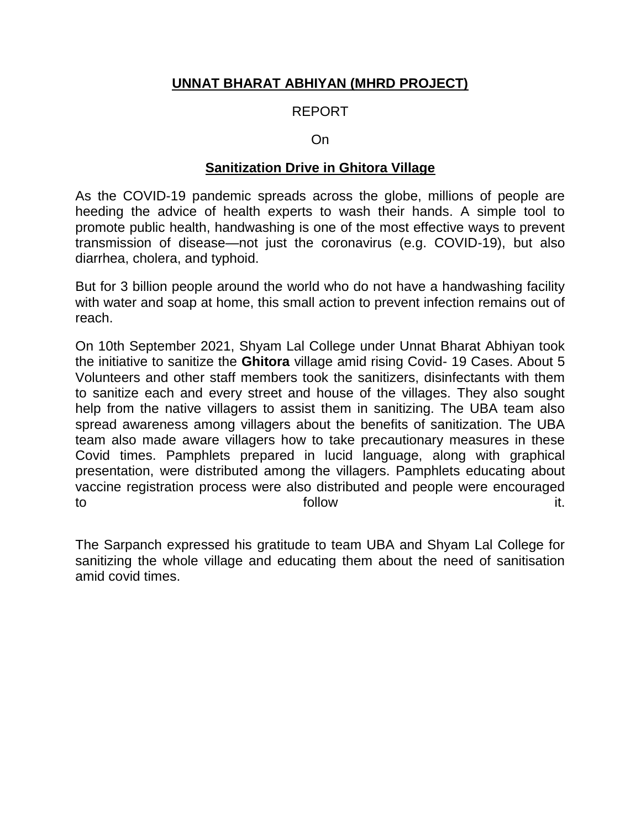## **UNNAT BHARAT ABHIYAN (MHRD PROJECT)**

## REPORT

#### On

#### **Sanitization Drive in Ghitora Village**

As the COVID-19 pandemic spreads across the globe, millions of people are heeding the advice of health experts to wash their hands. A simple tool to promote public health, handwashing is one of the most effective ways to prevent transmission of disease—not just the coronavirus (e.g. COVID-19), but also diarrhea, cholera, and typhoid.

But for 3 billion people around the world who do not have a handwashing facility with water and soap at home, this small action to prevent infection remains out of reach.

On 10th September 2021, Shyam Lal College under Unnat Bharat Abhiyan took the initiative to sanitize the **Ghitora** village amid rising Covid- 19 Cases. About 5 Volunteers and other staff members took the sanitizers, disinfectants with them to sanitize each and every street and house of the villages. They also sought help from the native villagers to assist them in sanitizing. The UBA team also spread awareness among villagers about the benefits of sanitization. The UBA team also made aware villagers how to take precautionary measures in these Covid times. Pamphlets prepared in lucid language, along with graphical presentation, were distributed among the villagers. Pamphlets educating about vaccine registration process were also distributed and people were encouraged to follow it.

The Sarpanch expressed his gratitude to team UBA and Shyam Lal College for sanitizing the whole village and educating them about the need of sanitisation amid covid times.